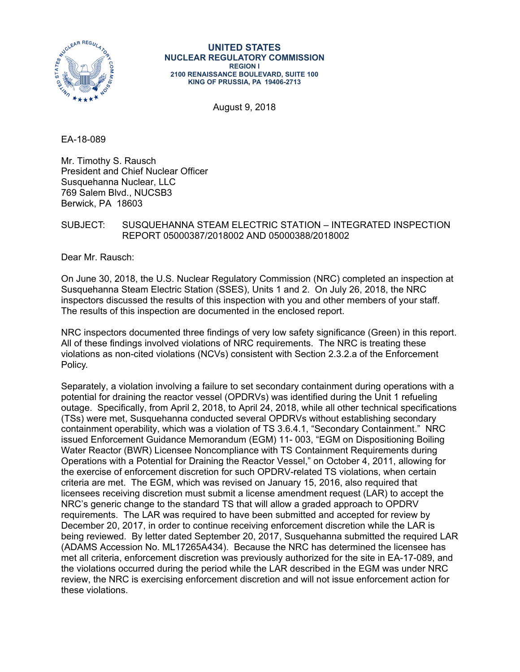

#### **UNITED STATES NUCLEAR REGULATORY COMMISSION REGION I 2100 RENAISSANCE BOULEVARD, SUITE 100 KING OF PRUSSIA, PA 19406-2713**

August 9, 2018

EA-18-089

Mr. Timothy S. Rausch President and Chief Nuclear Officer Susquehanna Nuclear, LLC 769 Salem Blvd., NUCSB3 Berwick, PA 18603

## SUBJECT: SUSQUEHANNA STEAM ELECTRIC STATION – INTEGRATED INSPECTION REPORT 05000387/2018002 AND 05000388/2018002

Dear Mr. Rausch:

On June 30, 2018, the U.S. Nuclear Regulatory Commission (NRC) completed an inspection at Susquehanna Steam Electric Station (SSES), Units 1 and 2. On July 26, 2018, the NRC inspectors discussed the results of this inspection with you and other members of your staff. The results of this inspection are documented in the enclosed report.

NRC inspectors documented three findings of very low safety significance (Green) in this report. All of these findings involved violations of NRC requirements. The NRC is treating these violations as non-cited violations (NCVs) consistent with Section 2.3.2.a of the Enforcement Policy.

Separately, a violation involving a failure to set secondary containment during operations with a potential for draining the reactor vessel (OPDRVs) was identified during the Unit 1 refueling outage. Specifically, from April 2, 2018, to April 24, 2018, while all other technical specifications (TSs) were met, Susquehanna conducted several OPDRVs without establishing secondary containment operability, which was a violation of TS 3.6.4.1, "Secondary Containment." NRC issued Enforcement Guidance Memorandum (EGM) 11- 003, "EGM on Dispositioning Boiling Water Reactor (BWR) Licensee Noncompliance with TS Containment Requirements during Operations with a Potential for Draining the Reactor Vessel," on October 4, 2011, allowing for the exercise of enforcement discretion for such OPDRV-related TS violations, when certain criteria are met. The EGM, which was revised on January 15, 2016, also required that licensees receiving discretion must submit a license amendment request (LAR) to accept the NRC's generic change to the standard TS that will allow a graded approach to OPDRV requirements. The LAR was required to have been submitted and accepted for review by December 20, 2017, in order to continue receiving enforcement discretion while the LAR is being reviewed. By letter dated September 20, 2017, Susquehanna submitted the required LAR (ADAMS Accession No. ML17265A434). Because the NRC has determined the licensee has met all criteria, enforcement discretion was previously authorized for the site in EA-17-089, and the violations occurred during the period while the LAR described in the EGM was under NRC review, the NRC is exercising enforcement discretion and will not issue enforcement action for these violations.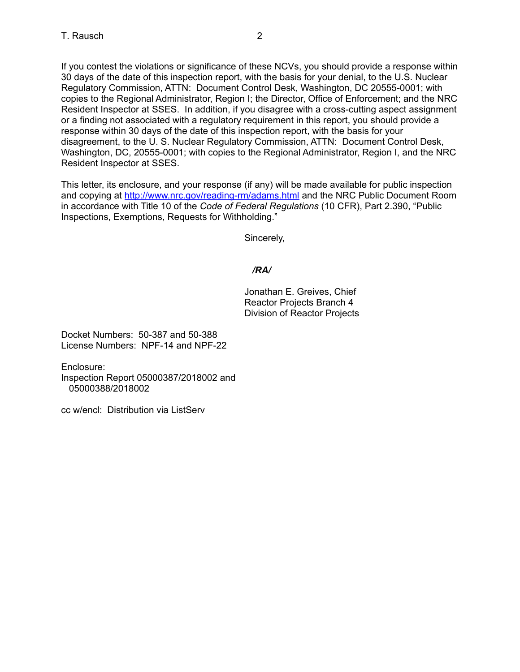If you contest the violations or significance of these NCVs, you should provide a response within 30 days of the date of this inspection report, with the basis for your denial, to the U.S. Nuclear Regulatory Commission, ATTN: Document Control Desk, Washington, DC 20555-0001; with copies to the Regional Administrator, Region I; the Director, Office of Enforcement; and the NRC Resident Inspector at SSES. In addition, if you disagree with a cross-cutting aspect assignment or a finding not associated with a regulatory requirement in this report, you should provide a response within 30 days of the date of this inspection report, with the basis for your disagreement, to the U. S. Nuclear Regulatory Commission, ATTN: Document Control Desk, Washington, DC, 20555-0001; with copies to the Regional Administrator, Region I, and the NRC Resident Inspector at SSES.

This letter, its enclosure, and your response (if any) will be made available for public inspection and copying at http://www.nrc.gov/reading-rm/adams.html and the NRC Public Document Room in accordance with Title 10 of the *Code of Federal Regulations* (10 CFR), Part 2.390, "Public Inspections, Exemptions, Requests for Withholding."

Sincerely,

# */RA/*

Jonathan E. Greives, Chief Reactor Projects Branch 4 Division of Reactor Projects

Docket Numbers: 50-387 and 50-388 License Numbers: NPF-14 and NPF-22

Enclosure: Inspection Report 05000387/2018002 and 05000388/2018002

cc w/encl: Distribution via ListServ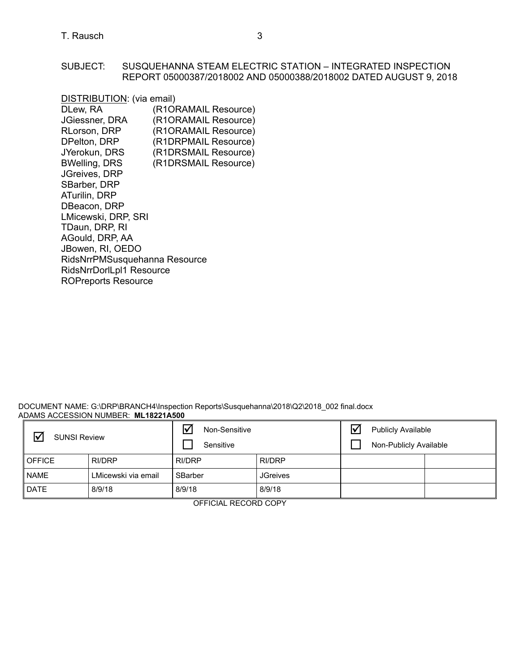## SUBJECT: SUSQUEHANNA STEAM ELECTRIC STATION – INTEGRATED INSPECTION REPORT 05000387/2018002 AND 05000388/2018002 DATED AUGUST 9, 2018

| DISTRIBUTION: (via email)     |                      |
|-------------------------------|----------------------|
| DLew, RA                      | (R1ORAMAIL Resource) |
| <b>JGiessner, DRA</b>         | (R1ORAMAIL Resource) |
| RLorson, DRP                  | (R1ORAMAIL Resource) |
| DPelton, DRP                  | (R1DRPMAIL Resource) |
| JYerokun, DRS                 | (R1DRSMAIL Resource) |
| <b>BWelling, DRS</b>          | (R1DRSMAIL Resource) |
| JGreives, DRP                 |                      |
| SBarber, DRP                  |                      |
| ATurilin, DRP                 |                      |
| DBeacon, DRP                  |                      |
| LMicewski, DRP, SRI           |                      |
| TDaun, DRP, RI                |                      |
| AGould, DRP, AA               |                      |
| JBowen, RI, OEDO              |                      |
| RidsNrrPMSusquehanna Resource |                      |
| RidsNrrDorlLpl1 Resource      |                      |
| <b>ROPreports Resource</b>    |                      |

#### DOCUMENT NAME: G:\DRP\BRANCH4\Inspection Reports\Susquehanna\2018\Q2\2018\_002 final.docx ADAMS ACCESSION NUMBER: **ML18221A500**

| $\triangledown$<br><b>SUNSI Review</b> |                     | ☑<br>Non-Sensitive<br>Sensitive |                 | $\blacktriangledown$ | <b>Publicly Available</b><br>Non-Publicly Available |  |
|----------------------------------------|---------------------|---------------------------------|-----------------|----------------------|-----------------------------------------------------|--|
| <b>OFFICE</b>                          | RI/DRP              | RI/DRP                          | RI/DRP          |                      |                                                     |  |
| <b>NAME</b>                            | LMicewski via email | SBarber                         | <b>JGreives</b> |                      |                                                     |  |
| <b>DATE</b>                            | 8/9/18              | 8/9/18                          | 8/9/18          |                      |                                                     |  |

OFFICIAL RECORD COPY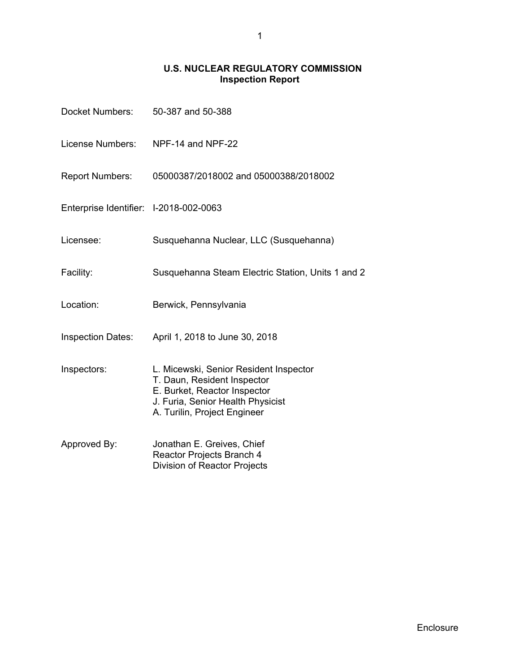# **U.S. NUCLEAR REGULATORY COMMISSION Inspection Report**

| Docket Numbers:                        | 50-387 and 50-388                                                                                                                                                          |
|----------------------------------------|----------------------------------------------------------------------------------------------------------------------------------------------------------------------------|
| License Numbers:                       | NPF-14 and NPF-22                                                                                                                                                          |
| <b>Report Numbers:</b>                 | 05000387/2018002 and 05000388/2018002                                                                                                                                      |
| Enterprise Identifier: I-2018-002-0063 |                                                                                                                                                                            |
| Licensee:                              | Susquehanna Nuclear, LLC (Susquehanna)                                                                                                                                     |
| Facility:                              | Susquehanna Steam Electric Station, Units 1 and 2                                                                                                                          |
| Location:                              | Berwick, Pennsylvania                                                                                                                                                      |
| <b>Inspection Dates:</b>               | April 1, 2018 to June 30, 2018                                                                                                                                             |
| Inspectors:                            | L. Micewski, Senior Resident Inspector<br>T. Daun, Resident Inspector<br>E. Burket, Reactor Inspector<br>J. Furia, Senior Health Physicist<br>A. Turilin, Project Engineer |
| Approved By:                           | Jonathan E. Greives, Chief<br>Reactor Projects Branch 4<br>Division of Reactor Projects                                                                                    |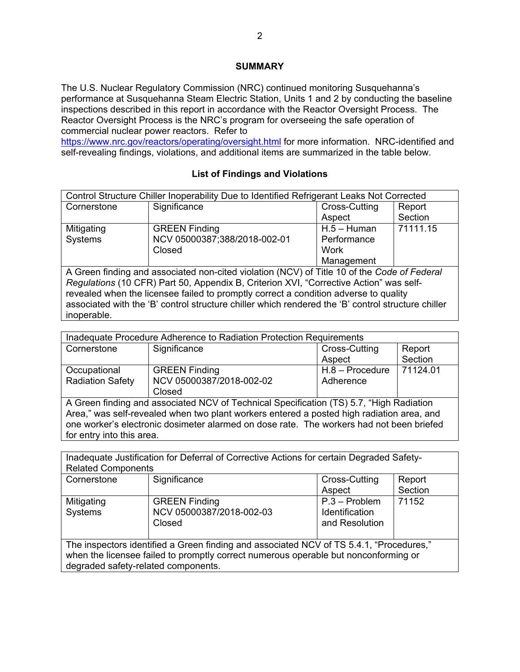## **SUMMARY**

The U.S. Nuclear Regulatory Commission (NRC) continued monitoring Susquehanna's performance at Susquehanna Steam Electric Station, Units 1 and 2 by conducting the baseline inspections described in this report in accordance with the Reactor Oversight Process. The Reactor Oversight Process is the NRC's program for overseeing the safe operation of commercial nuclear power reactors. Refer to

https://www.nrc.gov/reactors/operating/oversight.html for more information. NRC-identified and self-revealing findings, violations, and additional items are summarized in the table below.

## **List of Findings and Violations**

| Control Structure Chiller Inoperability Due to Identified Refrigerant Leaks Not Corrected |                                                                                             |               |          |
|-------------------------------------------------------------------------------------------|---------------------------------------------------------------------------------------------|---------------|----------|
| Cornerstone                                                                               | Significance                                                                                | Cross-Cutting | Report   |
|                                                                                           |                                                                                             | Aspect        | Section  |
| Mitigating                                                                                | <b>GREEN Finding</b>                                                                        | $H.5 - Human$ | 71111.15 |
| Systems                                                                                   | NCV 05000387;388/2018-002-01                                                                | Performance   |          |
|                                                                                           | Closed                                                                                      | Work          |          |
|                                                                                           |                                                                                             | Management    |          |
|                                                                                           | A Croop finding and associated non eited violation (NCV) of Title 10 of the Cade of Eaderal |               |          |

A Green finding and associated non-cited violation (NCV) of Title 10 of the *Code of Federal Regulations* (10 CFR) Part 50, Appendix B, Criterion XVI, "Corrective Action" was selfrevealed when the licensee failed to promptly correct a condition adverse to quality associated with the 'B' control structure chiller which rendered the 'B' control structure chiller inoperable.

| Inadequate Procedure Adherence to Radiation Protection Requirements                                                                                                                                                                                                                                           |                                                            |                                |                   |
|---------------------------------------------------------------------------------------------------------------------------------------------------------------------------------------------------------------------------------------------------------------------------------------------------------------|------------------------------------------------------------|--------------------------------|-------------------|
| Cornerstone                                                                                                                                                                                                                                                                                                   | Significance                                               | Cross-Cutting<br>Aspect        | Report<br>Section |
| Occupational<br><b>Radiation Safety</b>                                                                                                                                                                                                                                                                       | <b>GREEN Finding</b><br>NCV 05000387/2018-002-02<br>Closed | $H.8 - Procedure$<br>Adherence | 71124.01          |
| A Green finding and associated NCV of Technical Specification (TS) 5.7, "High Radiation<br>Area," was self-revealed when two plant workers entered a posted high radiation area, and<br>one worker's electronic dosimeter alarmed on dose rate. The workers had not been briefed<br>for entry into this area. |                                                            |                                |                   |

| Inadequate Justification for Deferral of Corrective Actions for certain Degraded Safety-                                                                                                                              |                                                            |                                                            |         |
|-----------------------------------------------------------------------------------------------------------------------------------------------------------------------------------------------------------------------|------------------------------------------------------------|------------------------------------------------------------|---------|
| <b>Related Components</b>                                                                                                                                                                                             |                                                            |                                                            |         |
| Cornerstone                                                                                                                                                                                                           | Significance                                               | Cross-Cutting                                              | Report  |
|                                                                                                                                                                                                                       |                                                            | Aspect                                                     | Section |
| Mitigating<br>Systems                                                                                                                                                                                                 | <b>GREEN Finding</b><br>NCV 05000387/2018-002-03<br>Closed | $P.3 - Problem$<br><b>Identification</b><br>and Resolution | 71152   |
| The inspectors identified a Green finding and associated NCV of TS 5.4.1, "Procedures,"<br>when the licensee failed to promptly correct numerous operable but nonconforming or<br>degraded safety-related components. |                                                            |                                                            |         |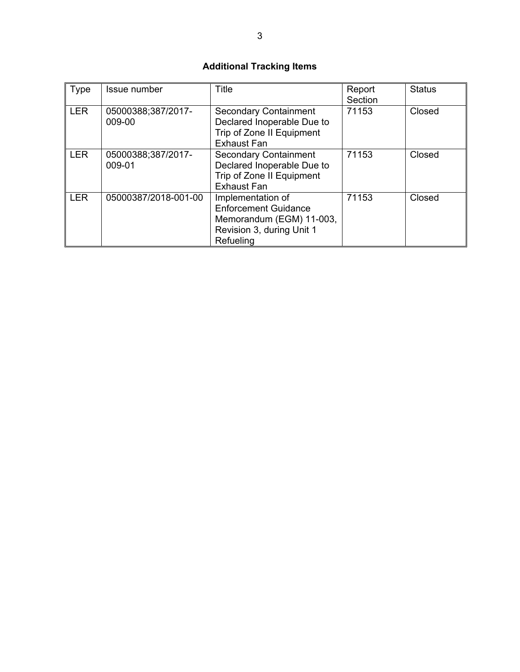# **Additional Tracking Items**

| Type       | Issue number                 | Title                                                                                                                  | Report<br>Section | <b>Status</b> |
|------------|------------------------------|------------------------------------------------------------------------------------------------------------------------|-------------------|---------------|
| <b>LER</b> | 05000388;387/2017-<br>009-00 | <b>Secondary Containment</b><br>Declared Inoperable Due to<br>Trip of Zone II Equipment<br><b>Exhaust Fan</b>          | 71153             | Closed        |
| <b>LER</b> | 05000388;387/2017-<br>009-01 | <b>Secondary Containment</b><br>Declared Inoperable Due to<br>Trip of Zone II Equipment<br><b>Exhaust Fan</b>          | 71153             | Closed        |
| <b>LER</b> | 05000387/2018-001-00         | Implementation of<br><b>Enforcement Guidance</b><br>Memorandum (EGM) 11-003,<br>Revision 3, during Unit 1<br>Refueling | 71153             | Closed        |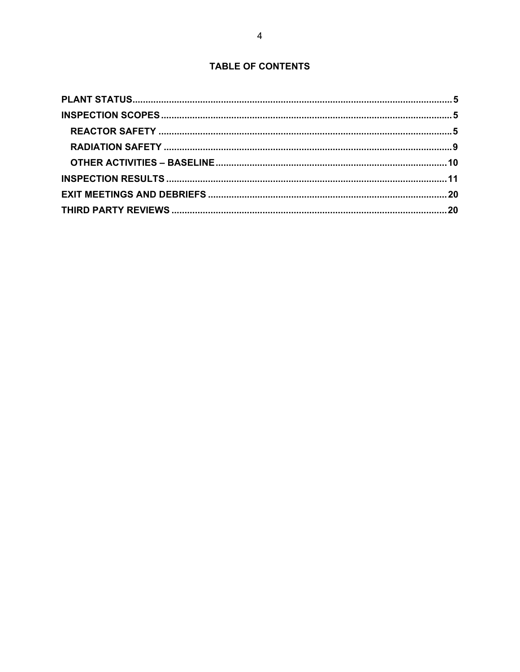# **TABLE OF CONTENTS**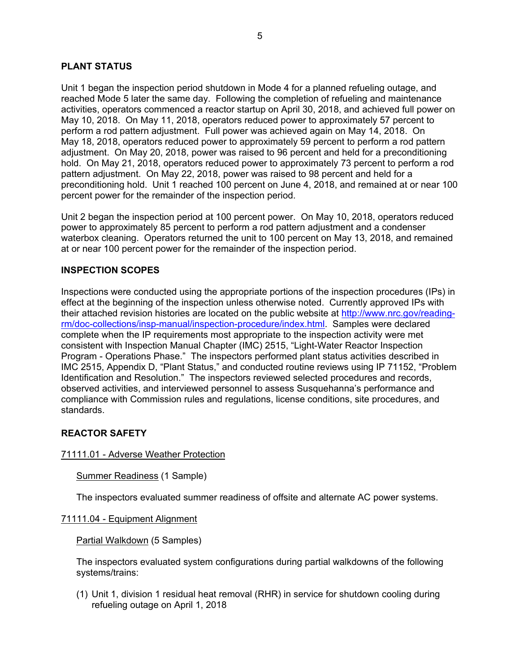## **PLANT STATUS**

Unit 1 began the inspection period shutdown in Mode 4 for a planned refueling outage, and reached Mode 5 later the same day. Following the completion of refueling and maintenance activities, operators commenced a reactor startup on April 30, 2018, and achieved full power on May 10, 2018. On May 11, 2018, operators reduced power to approximately 57 percent to perform a rod pattern adjustment. Full power was achieved again on May 14, 2018. On May 18, 2018, operators reduced power to approximately 59 percent to perform a rod pattern adjustment. On May 20, 2018, power was raised to 96 percent and held for a preconditioning hold. On May 21, 2018, operators reduced power to approximately 73 percent to perform a rod pattern adjustment. On May 22, 2018, power was raised to 98 percent and held for a preconditioning hold. Unit 1 reached 100 percent on June 4, 2018, and remained at or near 100 percent power for the remainder of the inspection period.

Unit 2 began the inspection period at 100 percent power. On May 10, 2018, operators reduced power to approximately 85 percent to perform a rod pattern adjustment and a condenser waterbox cleaning. Operators returned the unit to 100 percent on May 13, 2018, and remained at or near 100 percent power for the remainder of the inspection period.

## **INSPECTION SCOPES**

Inspections were conducted using the appropriate portions of the inspection procedures (IPs) in effect at the beginning of the inspection unless otherwise noted. Currently approved IPs with their attached revision histories are located on the public website at http://www.nrc.gov/readingrm/doc-collections/insp-manual/inspection-procedure/index.html. Samples were declared complete when the IP requirements most appropriate to the inspection activity were met consistent with Inspection Manual Chapter (IMC) 2515, "Light-Water Reactor Inspection Program - Operations Phase." The inspectors performed plant status activities described in IMC 2515, Appendix D, "Plant Status," and conducted routine reviews using IP 71152, "Problem Identification and Resolution." The inspectors reviewed selected procedures and records, observed activities, and interviewed personnel to assess Susquehanna's performance and compliance with Commission rules and regulations, license conditions, site procedures, and standards.

#### **REACTOR SAFETY**

#### 71111.01 - Adverse Weather Protection

#### Summer Readiness (1 Sample)

The inspectors evaluated summer readiness of offsite and alternate AC power systems.

#### 71111.04 - Equipment Alignment

#### Partial Walkdown (5 Samples)

The inspectors evaluated system configurations during partial walkdowns of the following systems/trains:

(1) Unit 1, division 1 residual heat removal (RHR) in service for shutdown cooling during refueling outage on April 1, 2018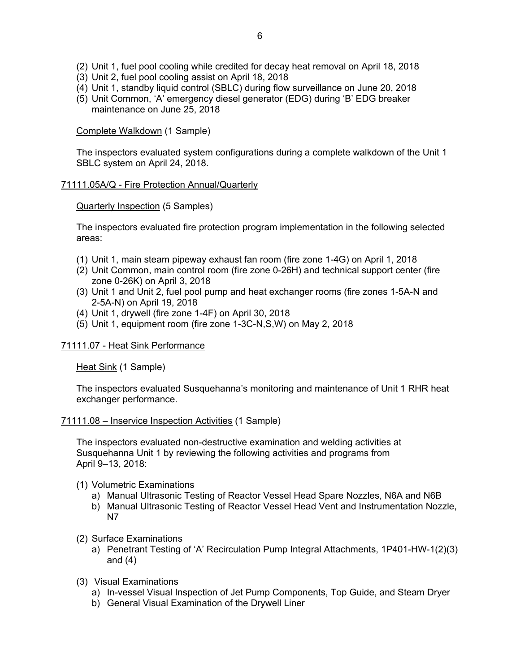- (2) Unit 1, fuel pool cooling while credited for decay heat removal on April 18, 2018
- (3) Unit 2, fuel pool cooling assist on April 18, 2018
- (4) Unit 1, standby liquid control (SBLC) during flow surveillance on June 20, 2018
- (5) Unit Common, 'A' emergency diesel generator (EDG) during 'B' EDG breaker maintenance on June 25, 2018

Complete Walkdown (1 Sample)

The inspectors evaluated system configurations during a complete walkdown of the Unit 1 SBLC system on April 24, 2018.

## 71111.05A/Q - Fire Protection Annual/Quarterly

Quarterly Inspection (5 Samples)

The inspectors evaluated fire protection program implementation in the following selected areas:

- (1) Unit 1, main steam pipeway exhaust fan room (fire zone 1-4G) on April 1, 2018
- (2) Unit Common, main control room (fire zone 0-26H) and technical support center (fire zone 0-26K) on April 3, 2018
- (3) Unit 1 and Unit 2, fuel pool pump and heat exchanger rooms (fire zones 1-5A-N and 2-5A-N) on April 19, 2018
- (4) Unit 1, drywell (fire zone 1-4F) on April 30, 2018
- (5) Unit 1, equipment room (fire zone 1-3C-N,S,W) on May 2, 2018

## 71111.07 - Heat Sink Performance

Heat Sink (1 Sample)

The inspectors evaluated Susquehanna's monitoring and maintenance of Unit 1 RHR heat exchanger performance.

#### 71111.08 – Inservice Inspection Activities (1 Sample)

The inspectors evaluated non-destructive examination and welding activities at Susquehanna Unit 1 by reviewing the following activities and programs from April 9–13, 2018:

- (1) Volumetric Examinations
	- a) Manual Ultrasonic Testing of Reactor Vessel Head Spare Nozzles, N6A and N6B
	- b) Manual Ultrasonic Testing of Reactor Vessel Head Vent and Instrumentation Nozzle, N7
- (2) Surface Examinations
	- a) Penetrant Testing of 'A' Recirculation Pump Integral Attachments, 1P401-HW-1(2)(3) and (4)
- (3) Visual Examinations
	- a) In-vessel Visual Inspection of Jet Pump Components, Top Guide, and Steam Dryer
	- b) General Visual Examination of the Drywell Liner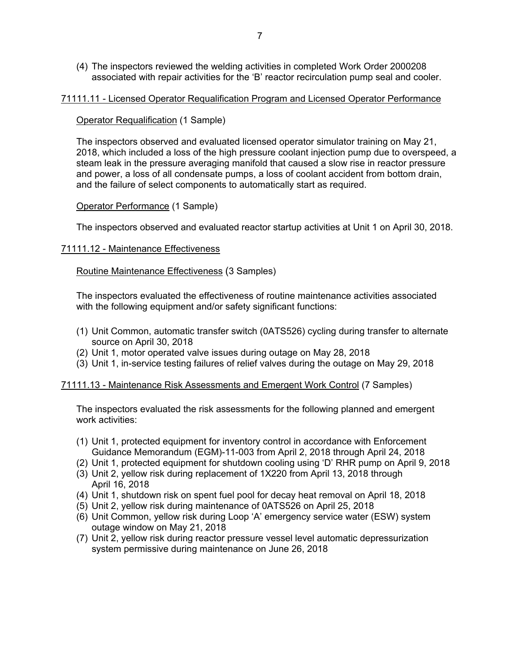(4) The inspectors reviewed the welding activities in completed Work Order 2000208 associated with repair activities for the 'B' reactor recirculation pump seal and cooler.

#### 71111.11 - Licensed Operator Requalification Program and Licensed Operator Performance

## **Operator Requalification (1 Sample)**

The inspectors observed and evaluated licensed operator simulator training on May 21, 2018, which included a loss of the high pressure coolant injection pump due to overspeed, a steam leak in the pressure averaging manifold that caused a slow rise in reactor pressure and power, a loss of all condensate pumps, a loss of coolant accident from bottom drain, and the failure of select components to automatically start as required.

## Operator Performance (1 Sample)

The inspectors observed and evaluated reactor startup activities at Unit 1 on April 30, 2018.

## 71111.12 - Maintenance Effectiveness

## Routine Maintenance Effectiveness (3 Samples)

The inspectors evaluated the effectiveness of routine maintenance activities associated with the following equipment and/or safety significant functions:

- (1) Unit Common, automatic transfer switch (0ATS526) cycling during transfer to alternate source on April 30, 2018
- (2) Unit 1, motor operated valve issues during outage on May 28, 2018
- (3) Unit 1, in-service testing failures of relief valves during the outage on May 29, 2018

## 71111.13 - Maintenance Risk Assessments and Emergent Work Control (7 Samples)

The inspectors evaluated the risk assessments for the following planned and emergent work activities:

- (1) Unit 1, protected equipment for inventory control in accordance with Enforcement Guidance Memorandum (EGM)-11-003 from April 2, 2018 through April 24, 2018
- (2) Unit 1, protected equipment for shutdown cooling using 'D' RHR pump on April 9, 2018
- (3) Unit 2, yellow risk during replacement of 1X220 from April 13, 2018 through April 16, 2018
- (4) Unit 1, shutdown risk on spent fuel pool for decay heat removal on April 18, 2018
- (5) Unit 2, yellow risk during maintenance of 0ATS526 on April 25, 2018
- (6) Unit Common, yellow risk during Loop 'A' emergency service water (ESW) system outage window on May 21, 2018
- (7) Unit 2, yellow risk during reactor pressure vessel level automatic depressurization system permissive during maintenance on June 26, 2018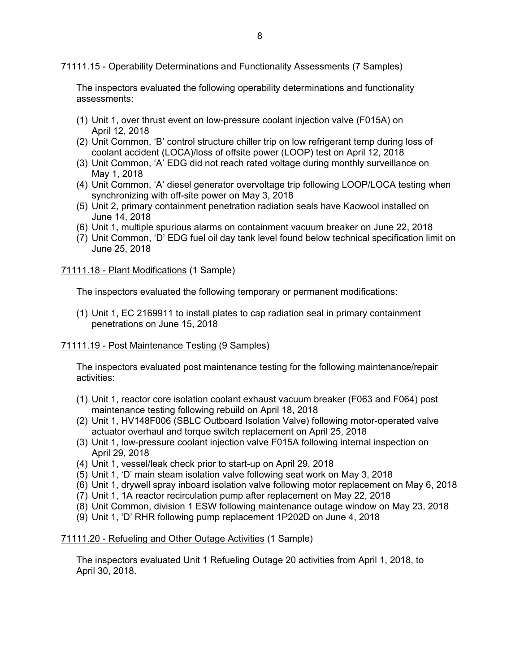## 71111.15 - Operability Determinations and Functionality Assessments (7 Samples)

The inspectors evaluated the following operability determinations and functionality assessments:

- (1) Unit 1, over thrust event on low-pressure coolant injection valve (F015A) on April 12, 2018
- (2) Unit Common, 'B' control structure chiller trip on low refrigerant temp during loss of coolant accident (LOCA)/loss of offsite power (LOOP) test on April 12, 2018
- (3) Unit Common, 'A' EDG did not reach rated voltage during monthly surveillance on May 1, 2018
- (4) Unit Common, 'A' diesel generator overvoltage trip following LOOP/LOCA testing when synchronizing with off-site power on May 3, 2018
- (5) Unit 2, primary containment penetration radiation seals have Kaowool installed on June 14, 2018
- (6) Unit 1, multiple spurious alarms on containment vacuum breaker on June 22, 2018
- (7) Unit Common, 'D' EDG fuel oil day tank level found below technical specification limit on June 25, 2018

#### 71111.18 - Plant Modifications (1 Sample)

The inspectors evaluated the following temporary or permanent modifications:

(1) Unit 1, EC 2169911 to install plates to cap radiation seal in primary containment penetrations on June 15, 2018

#### 71111.19 - Post Maintenance Testing (9 Samples)

The inspectors evaluated post maintenance testing for the following maintenance/repair activities:

- (1) Unit 1, reactor core isolation coolant exhaust vacuum breaker (F063 and F064) post maintenance testing following rebuild on April 18, 2018
- (2) Unit 1, HV148F006 (SBLC Outboard Isolation Valve) following motor-operated valve actuator overhaul and torque switch replacement on April 25, 2018
- (3) Unit 1, low-pressure coolant injection valve F015A following internal inspection on April 29, 2018
- (4) Unit 1, vessel/leak check prior to start-up on April 29, 2018
- (5) Unit 1, 'D' main steam isolation valve following seat work on May 3, 2018
- (6) Unit 1, drywell spray inboard isolation valve following motor replacement on May 6, 2018
- (7) Unit 1, 1A reactor recirculation pump after replacement on May 22, 2018
- (8) Unit Common, division 1 ESW following maintenance outage window on May 23, 2018
- (9) Unit 1, 'D' RHR following pump replacement 1P202D on June 4, 2018

#### 71111.20 - Refueling and Other Outage Activities (1 Sample)

The inspectors evaluated Unit 1 Refueling Outage 20 activities from April 1, 2018, to April 30, 2018.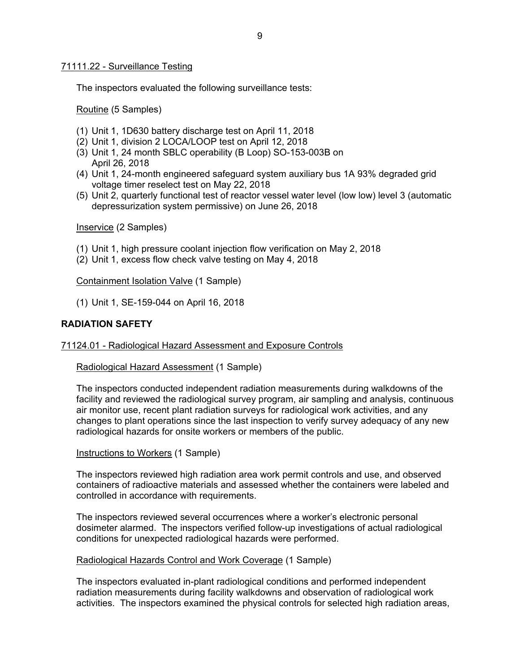#### 71111.22 - Surveillance Testing

The inspectors evaluated the following surveillance tests:

Routine (5 Samples)

- (1) Unit 1, 1D630 battery discharge test on April 11, 2018
- (2) Unit 1, division 2 LOCA/LOOP test on April 12, 2018
- (3) Unit 1, 24 month SBLC operability (B Loop) SO-153-003B on April 26, 2018
- (4) Unit 1, 24-month engineered safeguard system auxiliary bus 1A 93% degraded grid voltage timer reselect test on May 22, 2018
- (5) Unit 2, quarterly functional test of reactor vessel water level (low low) level 3 (automatic depressurization system permissive) on June 26, 2018

Inservice (2 Samples)

- (1) Unit 1, high pressure coolant injection flow verification on May 2, 2018
- (2) Unit 1, excess flow check valve testing on May 4, 2018

Containment Isolation Valve (1 Sample)

(1) Unit 1, SE-159-044 on April 16, 2018

## **RADIATION SAFETY**

#### 71124.01 - Radiological Hazard Assessment and Exposure Controls

Radiological Hazard Assessment (1 Sample)

The inspectors conducted independent radiation measurements during walkdowns of the facility and reviewed the radiological survey program, air sampling and analysis, continuous air monitor use, recent plant radiation surveys for radiological work activities, and any changes to plant operations since the last inspection to verify survey adequacy of any new radiological hazards for onsite workers or members of the public.

Instructions to Workers (1 Sample)

The inspectors reviewed high radiation area work permit controls and use, and observed containers of radioactive materials and assessed whether the containers were labeled and controlled in accordance with requirements.

The inspectors reviewed several occurrences where a worker's electronic personal dosimeter alarmed. The inspectors verified follow-up investigations of actual radiological conditions for unexpected radiological hazards were performed.

#### Radiological Hazards Control and Work Coverage (1 Sample)

The inspectors evaluated in-plant radiological conditions and performed independent radiation measurements during facility walkdowns and observation of radiological work activities. The inspectors examined the physical controls for selected high radiation areas,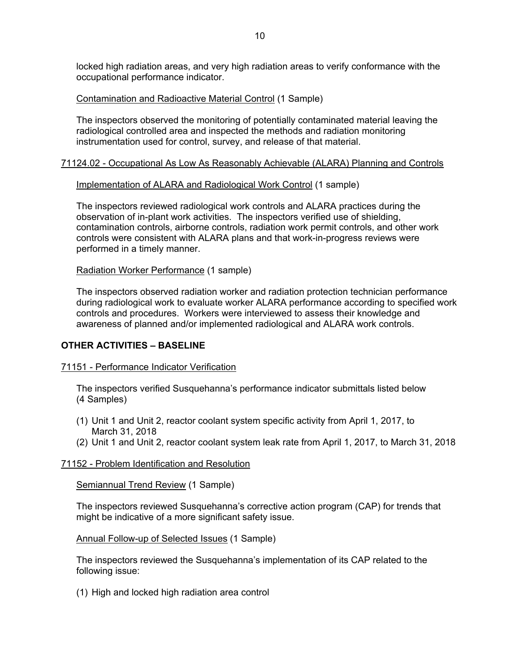locked high radiation areas, and very high radiation areas to verify conformance with the occupational performance indicator.

## Contamination and Radioactive Material Control (1 Sample)

The inspectors observed the monitoring of potentially contaminated material leaving the radiological controlled area and inspected the methods and radiation monitoring instrumentation used for control, survey, and release of that material.

## 71124.02 - Occupational As Low As Reasonably Achievable (ALARA) Planning and Controls

## Implementation of ALARA and Radiological Work Control (1 sample)

The inspectors reviewed radiological work controls and ALARA practices during the observation of in-plant work activities. The inspectors verified use of shielding, contamination controls, airborne controls, radiation work permit controls, and other work controls were consistent with ALARA plans and that work-in-progress reviews were performed in a timely manner.

## Radiation Worker Performance (1 sample)

The inspectors observed radiation worker and radiation protection technician performance during radiological work to evaluate worker ALARA performance according to specified work controls and procedures. Workers were interviewed to assess their knowledge and awareness of planned and/or implemented radiological and ALARA work controls.

## **OTHER ACTIVITIES – BASELINE**

#### 71151 - Performance Indicator Verification

The inspectors verified Susquehanna's performance indicator submittals listed below (4 Samples)

- (1) Unit 1 and Unit 2, reactor coolant system specific activity from April 1, 2017, to March 31, 2018
- (2) Unit 1 and Unit 2, reactor coolant system leak rate from April 1, 2017, to March 31, 2018

#### 71152 - Problem Identification and Resolution

Semiannual Trend Review (1 Sample)

The inspectors reviewed Susquehanna's corrective action program (CAP) for trends that might be indicative of a more significant safety issue.

Annual Follow-up of Selected Issues (1 Sample)

The inspectors reviewed the Susquehanna's implementation of its CAP related to the following issue:

(1) High and locked high radiation area control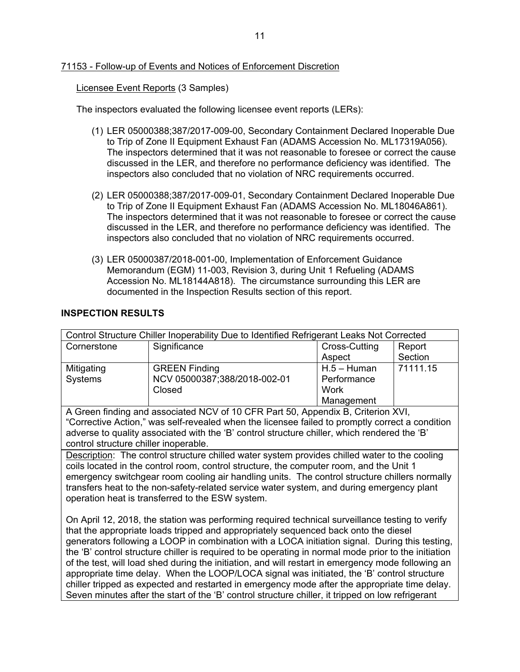## 71153 - Follow-up of Events and Notices of Enforcement Discretion

Licensee Event Reports (3 Samples)

The inspectors evaluated the following licensee event reports (LERs):

- (1) LER 05000388;387/2017-009-00, Secondary Containment Declared Inoperable Due to Trip of Zone II Equipment Exhaust Fan (ADAMS Accession No. ML17319A056). The inspectors determined that it was not reasonable to foresee or correct the cause discussed in the LER, and therefore no performance deficiency was identified. The inspectors also concluded that no violation of NRC requirements occurred.
- (2) LER 05000388;387/2017-009-01, Secondary Containment Declared Inoperable Due to Trip of Zone II Equipment Exhaust Fan (ADAMS Accession No. ML18046A861). The inspectors determined that it was not reasonable to foresee or correct the cause discussed in the LER, and therefore no performance deficiency was identified. The inspectors also concluded that no violation of NRC requirements occurred.
- (3) LER 05000387/2018-001-00, Implementation of Enforcement Guidance Memorandum (EGM) 11-003, Revision 3, during Unit 1 Refueling (ADAMS Accession No. ML18144A818). The circumstance surrounding this LER are documented in the Inspection Results section of this report.

## **INSPECTION RESULTS**

| Control Structure Chiller Inoperability Due to Identified Refrigerant Leaks Not Corrected                                                                                                                  |                                                                                                   |               |          |
|------------------------------------------------------------------------------------------------------------------------------------------------------------------------------------------------------------|---------------------------------------------------------------------------------------------------|---------------|----------|
| Cornerstone                                                                                                                                                                                                | Significance                                                                                      | Cross-Cutting | Report   |
|                                                                                                                                                                                                            |                                                                                                   | Aspect        | Section  |
| Mitigating                                                                                                                                                                                                 | <b>GREEN Finding</b>                                                                              | $H.5 - Human$ | 71111.15 |
| Systems                                                                                                                                                                                                    | NCV 05000387;388/2018-002-01                                                                      | Performance   |          |
|                                                                                                                                                                                                            | Closed                                                                                            | Work          |          |
|                                                                                                                                                                                                            |                                                                                                   | Management    |          |
|                                                                                                                                                                                                            | A Green finding and associated NCV of 10 CFR Part 50, Appendix B, Criterion XVI,                  |               |          |
|                                                                                                                                                                                                            | "Corrective Action," was self-revealed when the licensee failed to promptly correct a condition   |               |          |
|                                                                                                                                                                                                            | adverse to quality associated with the 'B' control structure chiller, which rendered the 'B'      |               |          |
| control structure chiller inoperable.                                                                                                                                                                      |                                                                                                   |               |          |
|                                                                                                                                                                                                            | Description: The control structure chilled water system provides chilled water to the cooling     |               |          |
| coils located in the control room, control structure, the computer room, and the Unit 1                                                                                                                    |                                                                                                   |               |          |
|                                                                                                                                                                                                            | emergency switchgear room cooling air handling units. The control structure chillers normally     |               |          |
| transfers heat to the non-safety-related service water system, and during emergency plant                                                                                                                  |                                                                                                   |               |          |
|                                                                                                                                                                                                            | operation heat is transferred to the ESW system.                                                  |               |          |
|                                                                                                                                                                                                            |                                                                                                   |               |          |
| On April 12, 2018, the station was performing required technical surveillance testing to verify                                                                                                            |                                                                                                   |               |          |
| that the appropriate loads tripped and appropriately sequenced back onto the diesel                                                                                                                        |                                                                                                   |               |          |
| generators following a LOOP in combination with a LOCA initiation signal. During this testing,                                                                                                             |                                                                                                   |               |          |
| the 'B' control structure chiller is required to be operating in normal mode prior to the initiation<br>of the test, will load shed during the initiation, and will restart in emergency mode following an |                                                                                                   |               |          |
|                                                                                                                                                                                                            |                                                                                                   |               |          |
|                                                                                                                                                                                                            | appropriate time delay. When the LOOP/LOCA signal was initiated, the 'B' control structure        |               |          |
|                                                                                                                                                                                                            | chiller tripped as expected and restarted in emergency mode after the appropriate time delay.     |               |          |
|                                                                                                                                                                                                            | Seven minutes after the start of the 'B' control structure chiller, it tripped on low refrigerant |               |          |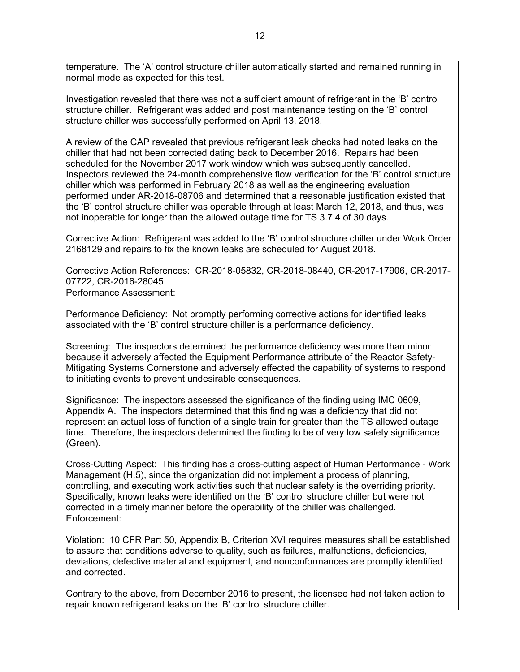temperature. The 'A' control structure chiller automatically started and remained running in normal mode as expected for this test.

Investigation revealed that there was not a sufficient amount of refrigerant in the 'B' control structure chiller. Refrigerant was added and post maintenance testing on the 'B' control structure chiller was successfully performed on April 13, 2018.

A review of the CAP revealed that previous refrigerant leak checks had noted leaks on the chiller that had not been corrected dating back to December 2016. Repairs had been scheduled for the November 2017 work window which was subsequently cancelled. Inspectors reviewed the 24-month comprehensive flow verification for the 'B' control structure chiller which was performed in February 2018 as well as the engineering evaluation performed under AR-2018-08706 and determined that a reasonable justification existed that the 'B' control structure chiller was operable through at least March 12, 2018, and thus, was not inoperable for longer than the allowed outage time for TS 3.7.4 of 30 days.

Corrective Action: Refrigerant was added to the 'B' control structure chiller under Work Order 2168129 and repairs to fix the known leaks are scheduled for August 2018.

Corrective Action References: CR-2018-05832, CR-2018-08440, CR-2017-17906, CR-2017- 07722, CR-2016-28045

Performance Assessment:

Performance Deficiency: Not promptly performing corrective actions for identified leaks associated with the 'B' control structure chiller is a performance deficiency.

Screening: The inspectors determined the performance deficiency was more than minor because it adversely affected the Equipment Performance attribute of the Reactor Safety-Mitigating Systems Cornerstone and adversely effected the capability of systems to respond to initiating events to prevent undesirable consequences.

Significance: The inspectors assessed the significance of the finding using IMC 0609, Appendix A. The inspectors determined that this finding was a deficiency that did not represent an actual loss of function of a single train for greater than the TS allowed outage time. Therefore, the inspectors determined the finding to be of very low safety significance (Green).

Cross-Cutting Aspect: This finding has a cross-cutting aspect of Human Performance - Work Management (H.5), since the organization did not implement a process of planning, controlling, and executing work activities such that nuclear safety is the overriding priority. Specifically, known leaks were identified on the 'B' control structure chiller but were not corrected in a timely manner before the operability of the chiller was challenged. Enforcement:

Violation: 10 CFR Part 50, Appendix B, Criterion XVI requires measures shall be established to assure that conditions adverse to quality, such as failures, malfunctions, deficiencies, deviations, defective material and equipment, and nonconformances are promptly identified and corrected.

Contrary to the above, from December 2016 to present, the licensee had not taken action to repair known refrigerant leaks on the 'B' control structure chiller.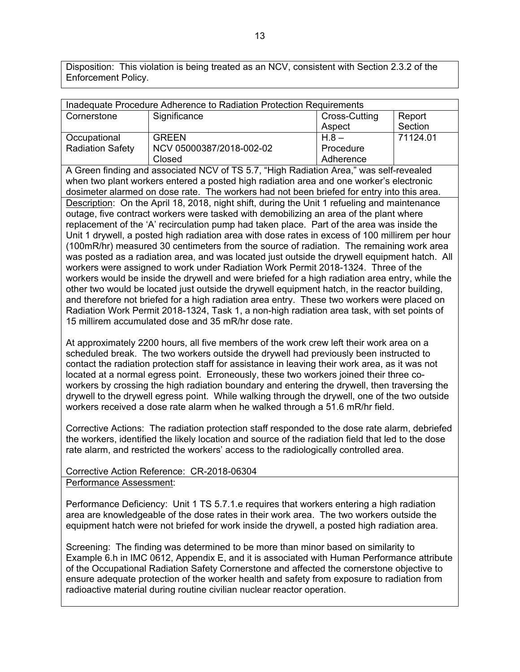Disposition: This violation is being treated as an NCV, consistent with Section 2.3.2 of the Enforcement Policy.

| Inadequate Procedure Adherence to Radiation Protection Requirements |                          |               |          |
|---------------------------------------------------------------------|--------------------------|---------------|----------|
| Cornerstone                                                         | Significance             | Cross-Cutting | Report   |
|                                                                     |                          | Aspect        | Section  |
| Occupational                                                        | <b>GREEN</b>             | $H.8 -$       | 71124.01 |
| <b>Radiation Safety</b>                                             | NCV 05000387/2018-002-02 | Procedure     |          |
|                                                                     | Closed                   | Adherence     |          |

A Green finding and associated NCV of TS 5.7, "High Radiation Area," was self-revealed when two plant workers entered a posted high radiation area and one worker's electronic dosimeter alarmed on dose rate. The workers had not been briefed for entry into this area. Description: On the April 18, 2018, night shift, during the Unit 1 refueling and maintenance outage, five contract workers were tasked with demobilizing an area of the plant where replacement of the 'A' recirculation pump had taken place. Part of the area was inside the Unit 1 drywell, a posted high radiation area with dose rates in excess of 100 millirem per hour (100mR/hr) measured 30 centimeters from the source of radiation. The remaining work area was posted as a radiation area, and was located just outside the drywell equipment hatch. All workers were assigned to work under Radiation Work Permit 2018-1324. Three of the workers would be inside the drywell and were briefed for a high radiation area entry, while the other two would be located just outside the drywell equipment hatch, in the reactor building, and therefore not briefed for a high radiation area entry. These two workers were placed on Radiation Work Permit 2018-1324, Task 1, a non-high radiation area task, with set points of 15 millirem accumulated dose and 35 mR/hr dose rate.

At approximately 2200 hours, all five members of the work crew left their work area on a scheduled break. The two workers outside the drywell had previously been instructed to contact the radiation protection staff for assistance in leaving their work area, as it was not located at a normal egress point. Erroneously, these two workers joined their three coworkers by crossing the high radiation boundary and entering the drywell, then traversing the drywell to the drywell egress point. While walking through the drywell, one of the two outside workers received a dose rate alarm when he walked through a 51.6 mR/hr field.

Corrective Actions: The radiation protection staff responded to the dose rate alarm, debriefed the workers, identified the likely location and source of the radiation field that led to the dose rate alarm, and restricted the workers' access to the radiologically controlled area.

Corrective Action Reference: CR-2018-06304 Performance Assessment:

Performance Deficiency: Unit 1 TS 5.7.1.e requires that workers entering a high radiation area are knowledgeable of the dose rates in their work area. The two workers outside the equipment hatch were not briefed for work inside the drywell, a posted high radiation area.

Screening: The finding was determined to be more than minor based on similarity to Example 6.h in IMC 0612, Appendix E, and it is associated with Human Performance attribute of the Occupational Radiation Safety Cornerstone and affected the cornerstone objective to ensure adequate protection of the worker health and safety from exposure to radiation from radioactive material during routine civilian nuclear reactor operation.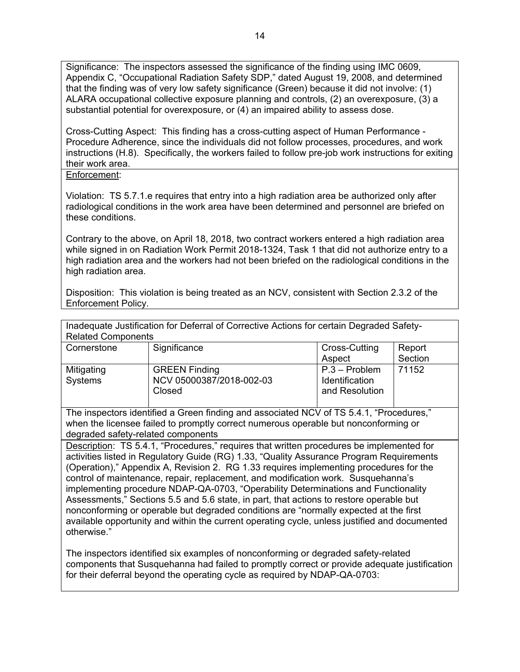Significance: The inspectors assessed the significance of the finding using IMC 0609, Appendix C, "Occupational Radiation Safety SDP," dated August 19, 2008, and determined that the finding was of very low safety significance (Green) because it did not involve: (1) ALARA occupational collective exposure planning and controls, (2) an overexposure, (3) a substantial potential for overexposure, or (4) an impaired ability to assess dose.

Cross-Cutting Aspect: This finding has a cross-cutting aspect of Human Performance - Procedure Adherence, since the individuals did not follow processes, procedures, and work instructions (H.8). Specifically, the workers failed to follow pre-job work instructions for exiting their work area.

#### Enforcement:

Violation: TS 5.7.1.e requires that entry into a high radiation area be authorized only after radiological conditions in the work area have been determined and personnel are briefed on these conditions.

Contrary to the above, on April 18, 2018, two contract workers entered a high radiation area while signed in on Radiation Work Permit 2018-1324, Task 1 that did not authorize entry to a high radiation area and the workers had not been briefed on the radiological conditions in the high radiation area.

Disposition: This violation is being treated as an NCV, consistent with Section 2.3.2 of the Enforcement Policy.

Inadequate Justification for Deferral of Corrective Actions for certain Degraded Safety-

| <b>Related Components</b> |                          |                 |         |
|---------------------------|--------------------------|-----------------|---------|
| Cornerstone               | Significance             | Cross-Cutting   | Report  |
|                           |                          | Aspect          | Section |
| Mitigating                | <b>GREEN Finding</b>     | $P.3 - Problem$ | 71152   |
| Systems                   | NCV 05000387/2018-002-03 | Identification  |         |
|                           | Closed                   | and Resolution  |         |

The inspectors identified a Green finding and associated NCV of TS 5.4.1, "Procedures," when the licensee failed to promptly correct numerous operable but nonconforming or degraded safety-related components

Description: TS 5.4.1, "Procedures," requires that written procedures be implemented for activities listed in Regulatory Guide (RG) 1.33, "Quality Assurance Program Requirements (Operation)," Appendix A, Revision 2. RG 1.33 requires implementing procedures for the control of maintenance, repair, replacement, and modification work. Susquehanna's implementing procedure NDAP-QA-0703, "Operability Determinations and Functionality Assessments," Sections 5.5 and 5.6 state, in part, that actions to restore operable but nonconforming or operable but degraded conditions are "normally expected at the first available opportunity and within the current operating cycle, unless justified and documented otherwise."

The inspectors identified six examples of nonconforming or degraded safety-related components that Susquehanna had failed to promptly correct or provide adequate justification for their deferral beyond the operating cycle as required by NDAP-QA-0703: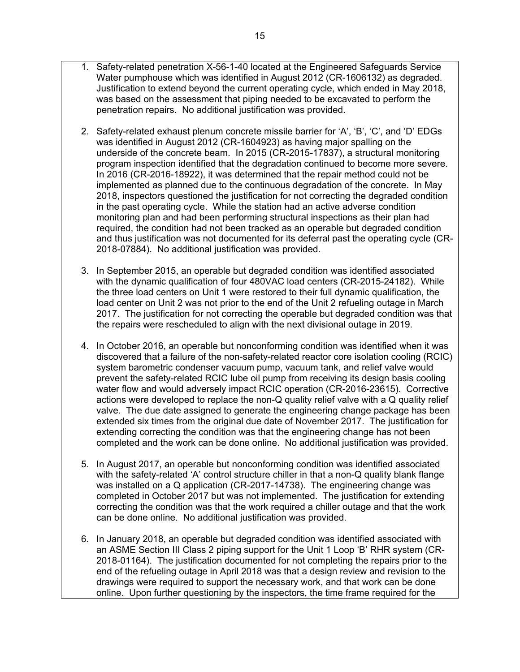1. Safety-related penetration X-56-1-40 located at the Engineered Safeguards Service Water pumphouse which was identified in August 2012 (CR-1606132) as degraded. Justification to extend beyond the current operating cycle, which ended in May 2018, was based on the assessment that piping needed to be excavated to perform the

penetration repairs. No additional justification was provided.

- 2. Safety-related exhaust plenum concrete missile barrier for 'A', 'B', 'C', and 'D' EDGs was identified in August 2012 (CR-1604923) as having major spalling on the underside of the concrete beam. In 2015 (CR-2015-17837), a structural monitoring program inspection identified that the degradation continued to become more severe. In 2016 (CR-2016-18922), it was determined that the repair method could not be implemented as planned due to the continuous degradation of the concrete. In May 2018, inspectors questioned the justification for not correcting the degraded condition in the past operating cycle. While the station had an active adverse condition monitoring plan and had been performing structural inspections as their plan had required, the condition had not been tracked as an operable but degraded condition and thus justification was not documented for its deferral past the operating cycle (CR-2018-07884). No additional justification was provided.
- 3. In September 2015, an operable but degraded condition was identified associated with the dynamic qualification of four 480VAC load centers (CR-2015-24182). While the three load centers on Unit 1 were restored to their full dynamic qualification, the load center on Unit 2 was not prior to the end of the Unit 2 refueling outage in March 2017. The justification for not correcting the operable but degraded condition was that the repairs were rescheduled to align with the next divisional outage in 2019.
- 4. In October 2016, an operable but nonconforming condition was identified when it was discovered that a failure of the non-safety-related reactor core isolation cooling (RCIC) system barometric condenser vacuum pump, vacuum tank, and relief valve would prevent the safety-related RCIC lube oil pump from receiving its design basis cooling water flow and would adversely impact RCIC operation (CR-2016-23615). Corrective actions were developed to replace the non-Q quality relief valve with a Q quality relief valve. The due date assigned to generate the engineering change package has been extended six times from the original due date of November 2017. The justification for extending correcting the condition was that the engineering change has not been completed and the work can be done online. No additional justification was provided.
- 5. In August 2017, an operable but nonconforming condition was identified associated with the safety-related 'A' control structure chiller in that a non-Q quality blank flange was installed on a Q application (CR-2017-14738). The engineering change was completed in October 2017 but was not implemented. The justification for extending correcting the condition was that the work required a chiller outage and that the work can be done online. No additional justification was provided.
- 6. In January 2018, an operable but degraded condition was identified associated with an ASME Section III Class 2 piping support for the Unit 1 Loop 'B' RHR system (CR-2018-01164). The justification documented for not completing the repairs prior to the end of the refueling outage in April 2018 was that a design review and revision to the drawings were required to support the necessary work, and that work can be done online. Upon further questioning by the inspectors, the time frame required for the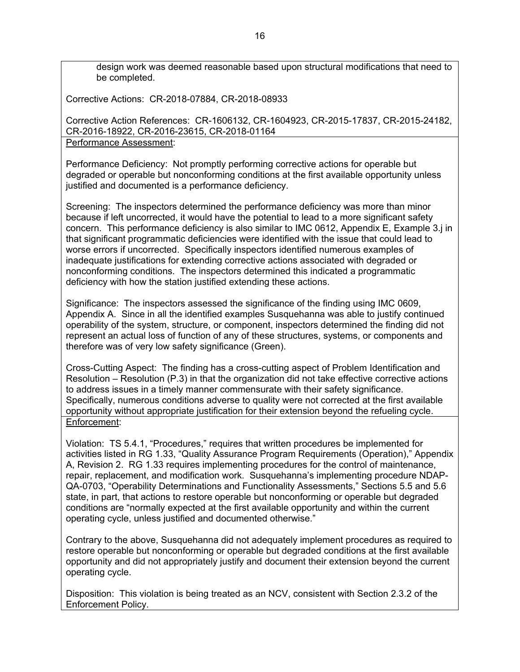design work was deemed reasonable based upon structural modifications that need to be completed.

Corrective Actions: CR-2018-07884, CR-2018-08933

Corrective Action References: CR-1606132, CR-1604923, CR-2015-17837, CR-2015-24182, CR-2016-18922, CR-2016-23615, CR-2018-01164

Performance Assessment:

Performance Deficiency: Not promptly performing corrective actions for operable but degraded or operable but nonconforming conditions at the first available opportunity unless justified and documented is a performance deficiency.

Screening: The inspectors determined the performance deficiency was more than minor because if left uncorrected, it would have the potential to lead to a more significant safety concern. This performance deficiency is also similar to IMC 0612, Appendix E, Example 3.j in that significant programmatic deficiencies were identified with the issue that could lead to worse errors if uncorrected. Specifically inspectors identified numerous examples of inadequate justifications for extending corrective actions associated with degraded or nonconforming conditions. The inspectors determined this indicated a programmatic deficiency with how the station justified extending these actions.

Significance: The inspectors assessed the significance of the finding using IMC 0609, Appendix A. Since in all the identified examples Susquehanna was able to justify continued operability of the system, structure, or component, inspectors determined the finding did not represent an actual loss of function of any of these structures, systems, or components and therefore was of very low safety significance (Green).

Cross-Cutting Aspect: The finding has a cross-cutting aspect of Problem Identification and Resolution – Resolution (P.3) in that the organization did not take effective corrective actions to address issues in a timely manner commensurate with their safety significance. Specifically, numerous conditions adverse to quality were not corrected at the first available opportunity without appropriate justification for their extension beyond the refueling cycle. Enforcement:

Violation: TS 5.4.1, "Procedures," requires that written procedures be implemented for activities listed in RG 1.33, "Quality Assurance Program Requirements (Operation)," Appendix A, Revision 2. RG 1.33 requires implementing procedures for the control of maintenance, repair, replacement, and modification work. Susquehanna's implementing procedure NDAP-QA-0703, "Operability Determinations and Functionality Assessments," Sections 5.5 and 5.6 state, in part, that actions to restore operable but nonconforming or operable but degraded conditions are "normally expected at the first available opportunity and within the current operating cycle, unless justified and documented otherwise."

Contrary to the above, Susquehanna did not adequately implement procedures as required to restore operable but nonconforming or operable but degraded conditions at the first available opportunity and did not appropriately justify and document their extension beyond the current operating cycle.

Disposition: This violation is being treated as an NCV, consistent with Section 2.3.2 of the Enforcement Policy.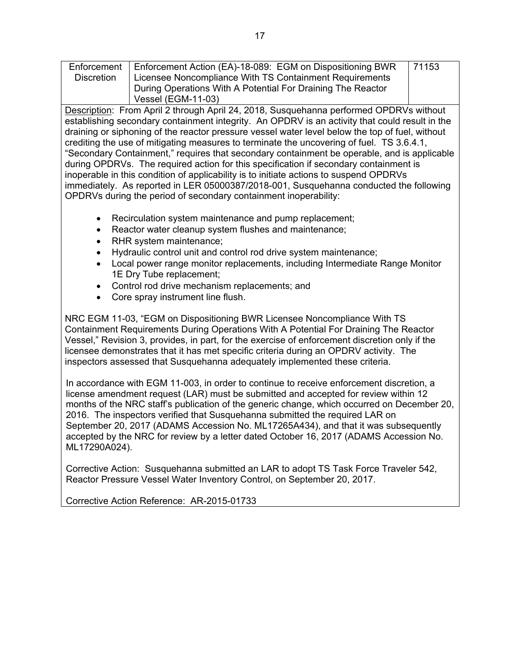Enforcement **Discretion** Enforcement Action (EA)-18-089: EGM on Dispositioning BWR Licensee Noncompliance With TS Containment Requirements During Operations With A Potential For Draining The Reactor Vessel (EGM-11-03) 71153

Description: From April 2 through April 24, 2018, Susquehanna performed OPDRVs without establishing secondary containment integrity. An OPDRV is an activity that could result in the draining or siphoning of the reactor pressure vessel water level below the top of fuel, without crediting the use of mitigating measures to terminate the uncovering of fuel. TS 3.6.4.1, "Secondary Containment," requires that secondary containment be operable, and is applicable during OPDRVs. The required action for this specification if secondary containment is inoperable in this condition of applicability is to initiate actions to suspend OPDRVs immediately. As reported in LER 05000387/2018-001, Susquehanna conducted the following OPDRVs during the period of secondary containment inoperability:

- Recirculation system maintenance and pump replacement;
- Reactor water cleanup system flushes and maintenance;
- RHR system maintenance;
- Hydraulic control unit and control rod drive system maintenance;
- Local power range monitor replacements, including Intermediate Range Monitor 1E Dry Tube replacement;
- Control rod drive mechanism replacements; and
- Core spray instrument line flush.

NRC EGM 11-03, "EGM on Dispositioning BWR Licensee Noncompliance With TS Containment Requirements During Operations With A Potential For Draining The Reactor Vessel," Revision 3, provides, in part, for the exercise of enforcement discretion only if the licensee demonstrates that it has met specific criteria during an OPDRV activity. The inspectors assessed that Susquehanna adequately implemented these criteria.

In accordance with EGM 11-003, in order to continue to receive enforcement discretion, a license amendment request (LAR) must be submitted and accepted for review within 12 months of the NRC staff's publication of the generic change, which occurred on December 20, 2016. The inspectors verified that Susquehanna submitted the required LAR on September 20, 2017 (ADAMS Accession No. ML17265A434), and that it was subsequently accepted by the NRC for review by a letter dated October 16, 2017 (ADAMS Accession No. ML17290A024).

Corrective Action: Susquehanna submitted an LAR to adopt TS Task Force Traveler 542, Reactor Pressure Vessel Water Inventory Control, on September 20, 2017.

Corrective Action Reference: AR-2015-01733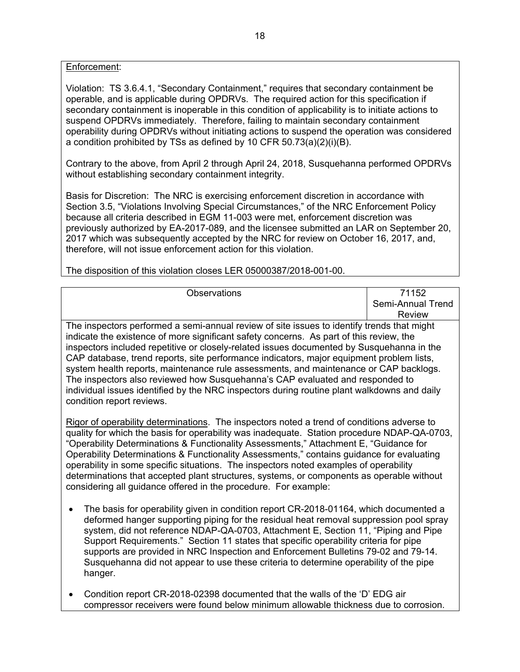Enforcement:

Violation: TS 3.6.4.1, "Secondary Containment," requires that secondary containment be operable, and is applicable during OPDRVs. The required action for this specification if secondary containment is inoperable in this condition of applicability is to initiate actions to suspend OPDRVs immediately. Therefore, failing to maintain secondary containment operability during OPDRVs without initiating actions to suspend the operation was considered a condition prohibited by TSs as defined by 10 CFR 50.73(a)(2)(i)(B).

Contrary to the above, from April 2 through April 24, 2018, Susquehanna performed OPDRVs without establishing secondary containment integrity.

Basis for Discretion: The NRC is exercising enforcement discretion in accordance with Section 3.5, "Violations Involving Special Circumstances," of the NRC Enforcement Policy because all criteria described in EGM 11-003 were met, enforcement discretion was previously authorized by EA-2017-089, and the licensee submitted an LAR on September 20, 2017 which was subsequently accepted by the NRC for review on October 16, 2017, and, therefore, will not issue enforcement action for this violation.

Observations 71152 Semi-Annual Trend Review The inspectors performed a semi-annual review of site issues to identify trends that might indicate the existence of more significant safety concerns. As part of this review, the inspectors included repetitive or closely-related issues documented by Susquehanna in the CAP database, trend reports, site performance indicators, major equipment problem lists, system health reports, maintenance rule assessments, and maintenance or CAP backlogs. The inspectors also reviewed how Susquehanna's CAP evaluated and responded to individual issues identified by the NRC inspectors during routine plant walkdowns and daily condition report reviews.

The disposition of this violation closes LER 05000387/2018-001-00.

Rigor of operability determinations. The inspectors noted a trend of conditions adverse to quality for which the basis for operability was inadequate. Station procedure NDAP-QA-0703, "Operability Determinations & Functionality Assessments," Attachment E, "Guidance for Operability Determinations & Functionality Assessments," contains guidance for evaluating operability in some specific situations. The inspectors noted examples of operability determinations that accepted plant structures, systems, or components as operable without considering all guidance offered in the procedure. For example:

- The basis for operability given in condition report CR-2018-01164, which documented a deformed hanger supporting piping for the residual heat removal suppression pool spray system, did not reference NDAP-QA-0703, Attachment E, Section 11, "Piping and Pipe Support Requirements." Section 11 states that specific operability criteria for pipe supports are provided in NRC Inspection and Enforcement Bulletins 79-02 and 79-14. Susquehanna did not appear to use these criteria to determine operability of the pipe hanger.
- Condition report CR-2018-02398 documented that the walls of the 'D' EDG air compressor receivers were found below minimum allowable thickness due to corrosion.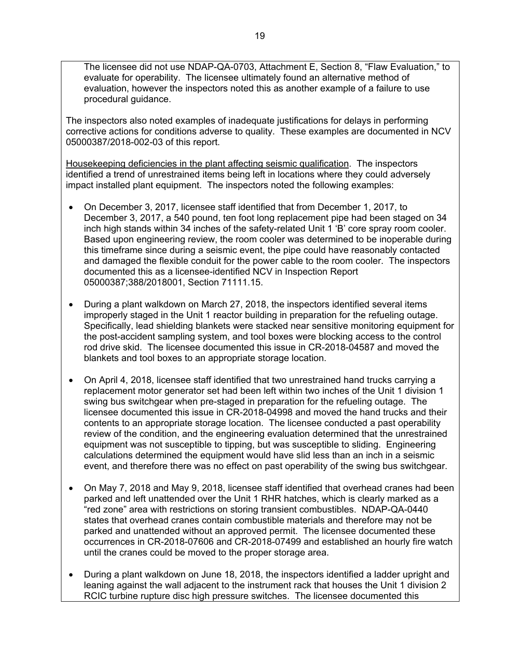The licensee did not use NDAP-QA-0703, Attachment E, Section 8, "Flaw Evaluation," to evaluate for operability. The licensee ultimately found an alternative method of evaluation, however the inspectors noted this as another example of a failure to use procedural guidance.

The inspectors also noted examples of inadequate justifications for delays in performing corrective actions for conditions adverse to quality. These examples are documented in NCV 05000387/2018-002-03 of this report.

Housekeeping deficiencies in the plant affecting seismic qualification. The inspectors identified a trend of unrestrained items being left in locations where they could adversely impact installed plant equipment. The inspectors noted the following examples:

- On December 3, 2017, licensee staff identified that from December 1, 2017, to December 3, 2017, a 540 pound, ten foot long replacement pipe had been staged on 34 inch high stands within 34 inches of the safety-related Unit 1 'B' core spray room cooler. Based upon engineering review, the room cooler was determined to be inoperable during this timeframe since during a seismic event, the pipe could have reasonably contacted and damaged the flexible conduit for the power cable to the room cooler. The inspectors documented this as a licensee-identified NCV in Inspection Report 05000387;388/2018001, Section 71111.15.
- During a plant walkdown on March 27, 2018, the inspectors identified several items improperly staged in the Unit 1 reactor building in preparation for the refueling outage. Specifically, lead shielding blankets were stacked near sensitive monitoring equipment for the post-accident sampling system, and tool boxes were blocking access to the control rod drive skid. The licensee documented this issue in CR-2018-04587 and moved the blankets and tool boxes to an appropriate storage location.
- On April 4, 2018, licensee staff identified that two unrestrained hand trucks carrying a replacement motor generator set had been left within two inches of the Unit 1 division 1 swing bus switchgear when pre-staged in preparation for the refueling outage. The licensee documented this issue in CR-2018-04998 and moved the hand trucks and their contents to an appropriate storage location. The licensee conducted a past operability review of the condition, and the engineering evaluation determined that the unrestrained equipment was not susceptible to tipping, but was susceptible to sliding. Engineering calculations determined the equipment would have slid less than an inch in a seismic event, and therefore there was no effect on past operability of the swing bus switchgear.
- On May 7, 2018 and May 9, 2018, licensee staff identified that overhead cranes had been parked and left unattended over the Unit 1 RHR hatches, which is clearly marked as a "red zone" area with restrictions on storing transient combustibles. NDAP-QA-0440 states that overhead cranes contain combustible materials and therefore may not be parked and unattended without an approved permit. The licensee documented these occurrences in CR-2018-07606 and CR-2018-07499 and established an hourly fire watch until the cranes could be moved to the proper storage area.
- During a plant walkdown on June 18, 2018, the inspectors identified a ladder upright and leaning against the wall adjacent to the instrument rack that houses the Unit 1 division 2 RCIC turbine rupture disc high pressure switches. The licensee documented this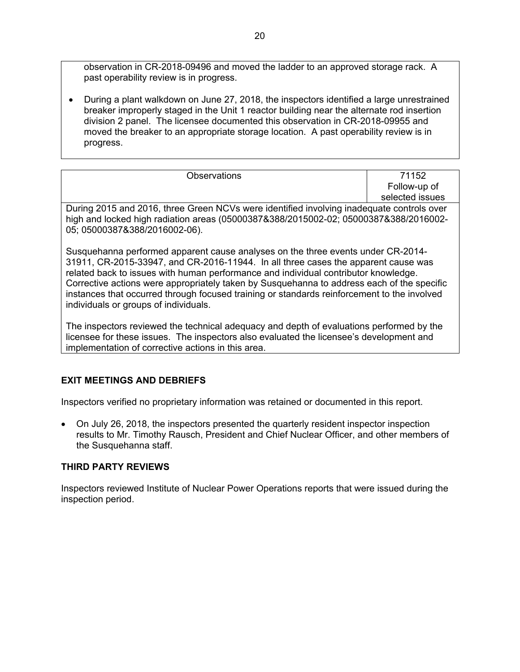observation in CR-2018-09496 and moved the ladder to an approved storage rack. A past operability review is in progress.

 During a plant walkdown on June 27, 2018, the inspectors identified a large unrestrained breaker improperly staged in the Unit 1 reactor building near the alternate rod insertion division 2 panel. The licensee documented this observation in CR-2018-09955 and moved the breaker to an appropriate storage location. A past operability review is in progress.

| <b>Observations</b>                                                                       | 71152           |
|-------------------------------------------------------------------------------------------|-----------------|
|                                                                                           | Follow-up of    |
|                                                                                           | selected issues |
| During 2015 and 2016, three Green NCVs were identified involving inadequate controls over |                 |
| high and locked high radiation areas (05000387&388/2015002-02; 05000387&388/2016002-      |                 |
| 05; 05000387&388/2016002-06).                                                             |                 |
|                                                                                           |                 |
| Susquehanna performed apparent cause analyses on the three events under CR-2014-          |                 |

on the three events under CR-2014-31911, CR-2015-33947, and CR-2016-11944. In all three cases the apparent cause was related back to issues with human performance and individual contributor knowledge. Corrective actions were appropriately taken by Susquehanna to address each of the specific instances that occurred through focused training or standards reinforcement to the involved individuals or groups of individuals.

The inspectors reviewed the technical adequacy and depth of evaluations performed by the licensee for these issues. The inspectors also evaluated the licensee's development and implementation of corrective actions in this area.

# **EXIT MEETINGS AND DEBRIEFS**

Inspectors verified no proprietary information was retained or documented in this report.

 On July 26, 2018, the inspectors presented the quarterly resident inspector inspection results to Mr. Timothy Rausch, President and Chief Nuclear Officer, and other members of the Susquehanna staff.

# **THIRD PARTY REVIEWS**

Inspectors reviewed Institute of Nuclear Power Operations reports that were issued during the inspection period.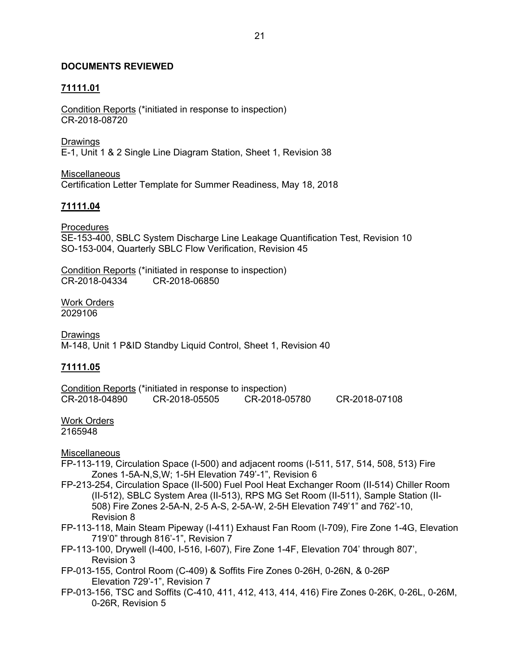## **DOCUMENTS REVIEWED**

## **71111.01**

Condition Reports (\*initiated in response to inspection) CR-2018-08720

Drawings E-1, Unit 1 & 2 Single Line Diagram Station, Sheet 1, Revision 38

Miscellaneous Certification Letter Template for Summer Readiness, May 18, 2018

## **71111.04**

Procedures SE-153-400, SBLC System Discharge Line Leakage Quantification Test, Revision 10 SO-153-004, Quarterly SBLC Flow Verification, Revision 45

Condition Reports (\*initiated in response to inspection) CR-2018-04334 CR-2018-06850

Work Orders 2029106

Drawings M-148, Unit 1 P&ID Standby Liquid Control, Sheet 1, Revision 40

## **71111.05**

Condition Reports (\*initiated in response to inspection)<br>CR-2018-04890 CR-2018-05505 CR-2018-0 CR-2018-04890 CR-2018-05505 CR-2018-05780 CR-2018-07108

# Work Orders

2165948

**Miscellaneous** 

FP-113-119, Circulation Space (I-500) and adjacent rooms (I-511, 517, 514, 508, 513) Fire Zones 1-5A-N,S,W; 1-5H Elevation 749'-1", Revision 6

- FP-213-254, Circulation Space (II-500) Fuel Pool Heat Exchanger Room (II-514) Chiller Room (II-512), SBLC System Area (II-513), RPS MG Set Room (II-511), Sample Station (II-508) Fire Zones 2-5A-N, 2-5 A-S, 2-5A-W, 2-5H Elevation 749'1" and 762'-10, Revision 8
- FP-113-118, Main Steam Pipeway (I-411) Exhaust Fan Room (I-709), Fire Zone 1-4G, Elevation 719'0" through 816'-1", Revision 7
- FP-113-100, Drywell (I-400, I-516, I-607), Fire Zone 1-4F, Elevation 704' through 807', Revision 3
- FP-013-155, Control Room (C-409) & Soffits Fire Zones 0-26H, 0-26N, & 0-26P Elevation 729'-1", Revision 7
- FP-013-156, TSC and Soffits (C-410, 411, 412, 413, 414, 416) Fire Zones 0-26K, 0-26L, 0-26M, 0-26R, Revision 5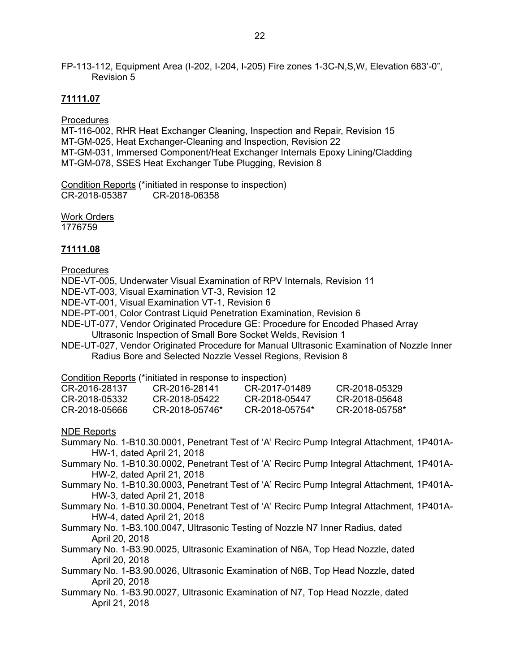FP-113-112, Equipment Area (I-202, I-204, I-205) Fire zones 1-3C-N,S,W, Elevation 683'-0", Revision 5

## **71111.07**

**Procedures** 

MT-116-002, RHR Heat Exchanger Cleaning, Inspection and Repair, Revision 15 MT-GM-025, Heat Exchanger-Cleaning and Inspection, Revision 22 MT-GM-031, Immersed Component/Heat Exchanger Internals Epoxy Lining/Cladding MT-GM-078, SSES Heat Exchanger Tube Plugging, Revision 8

Condition Reports (\*initiated in response to inspection) CR-2018-05387 CR-2018-06358

Work Orders 1776759

## **71111.08**

Procedures

- NDE-VT-005, Underwater Visual Examination of RPV Internals, Revision 11
- NDE-VT-003, Visual Examination VT-3, Revision 12
- NDE-VT-001, Visual Examination VT-1, Revision 6
- NDE-PT-001, Color Contrast Liquid Penetration Examination, Revision 6
- NDE-UT-077, Vendor Originated Procedure GE: Procedure for Encoded Phased Array Ultrasonic Inspection of Small Bore Socket Welds, Revision 1
- NDE-UT-027, Vendor Originated Procedure for Manual Ultrasonic Examination of Nozzle Inner Radius Bore and Selected Nozzle Vessel Regions, Revision 8

Condition Reports (\*initiated in response to inspection)

| CR-2016-28137 | CR-2016-28141  | CR-2017-01489  | CR-2018-05329  |
|---------------|----------------|----------------|----------------|
| CR-2018-05332 | CR-2018-05422  | CR-2018-05447  | CR-2018-05648  |
| CR-2018-05666 | CR-2018-05746* | CR-2018-05754* | CR-2018-05758* |

NDE Reports

- Summary No. 1-B10.30.0001, Penetrant Test of 'A' Recirc Pump Integral Attachment, 1P401A-HW-1, dated April 21, 2018
- Summary No. 1-B10.30.0002, Penetrant Test of 'A' Recirc Pump Integral Attachment, 1P401A-HW-2, dated April 21, 2018
- Summary No. 1-B10.30.0003, Penetrant Test of 'A' Recirc Pump Integral Attachment, 1P401A-HW-3, dated April 21, 2018
- Summary No. 1-B10.30.0004, Penetrant Test of 'A' Recirc Pump Integral Attachment, 1P401A-HW-4, dated April 21, 2018
- Summary No. 1-B3.100.0047, Ultrasonic Testing of Nozzle N7 Inner Radius, dated April 20, 2018
- Summary No. 1-B3.90.0025, Ultrasonic Examination of N6A, Top Head Nozzle, dated April 20, 2018
- Summary No. 1-B3.90.0026, Ultrasonic Examination of N6B, Top Head Nozzle, dated April 20, 2018
- Summary No. 1-B3.90.0027, Ultrasonic Examination of N7, Top Head Nozzle, dated April 21, 2018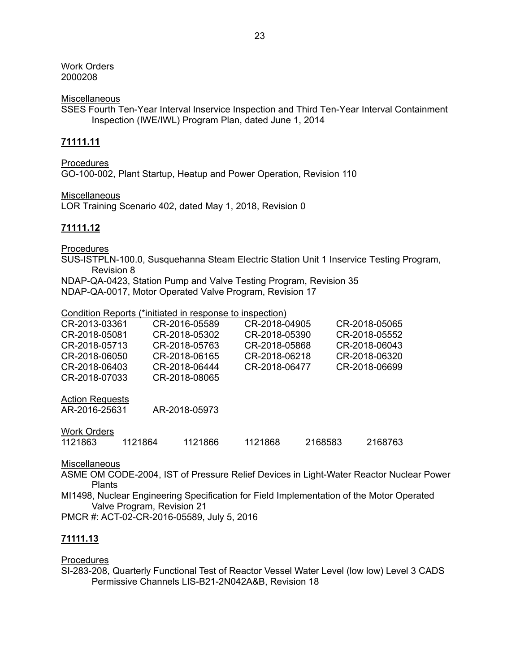Work Orders 2000208

**Miscellaneous** 

SSES Fourth Ten-Year Interval Inservice Inspection and Third Ten-Year Interval Containment Inspection (IWE/IWL) Program Plan, dated June 1, 2014

## **71111.11**

**Procedures** GO-100-002, Plant Startup, Heatup and Power Operation, Revision 110

Miscellaneous

LOR Training Scenario 402, dated May 1, 2018, Revision 0

## **71111.12**

**Procedures** 

SUS-ISTPLN-100.0, Susquehanna Steam Electric Station Unit 1 Inservice Testing Program, Revision 8

NDAP-QA-0423, Station Pump and Valve Testing Program, Revision 35

NDAP-QA-0017, Motor Operated Valve Program, Revision 17

Condition Reports (\*initiated in response to inspection)

| CR-2013-03361 | CR-2016-05589 | CR-2018-04905 | CR-2018-05065 |
|---------------|---------------|---------------|---------------|
| CR-2018-05081 | CR-2018-05302 | CR-2018-05390 | CR-2018-05552 |
| CR-2018-05713 | CR-2018-05763 | CR-2018-05868 | CR-2018-06043 |
| CR-2018-06050 | CR-2018-06165 | CR-2018-06218 | CR-2018-06320 |
| CR-2018-06403 | CR-2018-06444 | CR-2018-06477 | CR-2018-06699 |
| CR-2018-07033 | CR-2018-08065 |               |               |
|               |               |               |               |

Action Requests

| AR-2016-25631 | AR-2018-05973 |
|---------------|---------------|
|               |               |

Work Orders

|  | 1121863 | 1121864 | 1121866 | 1121868 | 2168583 | 2168763 |
|--|---------|---------|---------|---------|---------|---------|
|--|---------|---------|---------|---------|---------|---------|

**Miscellaneous** 

ASME OM CODE-2004, IST of Pressure Relief Devices in Light-Water Reactor Nuclear Power **Plants** 

MI1498, Nuclear Engineering Specification for Field Implementation of the Motor Operated Valve Program, Revision 21

PMCR #: ACT-02-CR-2016-05589, July 5, 2016

#### **71111.13**

#### **Procedures**

SI-283-208, Quarterly Functional Test of Reactor Vessel Water Level (low low) Level 3 CADS Permissive Channels LIS-B21-2N042A&B, Revision 18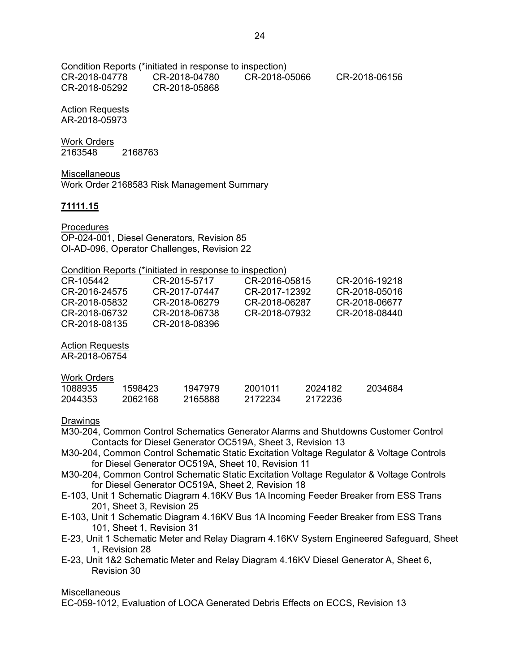Condition Reports (\*initiated in response to inspection) CR-2018-04778 CR-2018-04780 CR-2018-05066 CR-2018-06156 CR-2018-05292 CR-2018-05868

#### Action Requests AR-2018-05973

# Work Orders

2163548 2168763

Miscellaneous

Work Order 2168583 Risk Management Summary

## **71111.15**

Procedures

OP-024-001, Diesel Generators, Revision 85 OI-AD-096, Operator Challenges, Revision 22

Condition Reports (\*initiated in response to inspection)

| CR-105442     | CR-2015-5717  | CR-2016-05815 | CR-2016-19218 |
|---------------|---------------|---------------|---------------|
| CR-2016-24575 | CR-2017-07447 | CR-2017-12392 | CR-2018-05016 |
| CR-2018-05832 | CR-2018-06279 | CR-2018-06287 | CR-2018-06677 |
| CR-2018-06732 | CR-2018-06738 | CR-2018-07932 | CR-2018-08440 |
| CR-2018-08135 | CR-2018-08396 |               |               |

Action Requests

AR-2018-06754

Work Orders

| 1088935 | 1598423 | 1947979 | 2001011 | 2024182 | 2034684 |
|---------|---------|---------|---------|---------|---------|
| 2044353 | 2062168 | 2165888 | 2172234 | 2172236 |         |

## Drawings

- M30-204, Common Control Schematics Generator Alarms and Shutdowns Customer Control Contacts for Diesel Generator OC519A, Sheet 3, Revision 13
- M30-204, Common Control Schematic Static Excitation Voltage Regulator & Voltage Controls for Diesel Generator OC519A, Sheet 10, Revision 11
- M30-204, Common Control Schematic Static Excitation Voltage Regulator & Voltage Controls for Diesel Generator OC519A, Sheet 2, Revision 18
- E-103, Unit 1 Schematic Diagram 4.16KV Bus 1A Incoming Feeder Breaker from ESS Trans 201, Sheet 3, Revision 25
- E-103, Unit 1 Schematic Diagram 4.16KV Bus 1A Incoming Feeder Breaker from ESS Trans 101, Sheet 1, Revision 31
- E-23, Unit 1 Schematic Meter and Relay Diagram 4.16KV System Engineered Safeguard, Sheet 1, Revision 28
- E-23, Unit 1&2 Schematic Meter and Relay Diagram 4.16KV Diesel Generator A, Sheet 6, Revision 30

**Miscellaneous** 

EC-059-1012, Evaluation of LOCA Generated Debris Effects on ECCS, Revision 13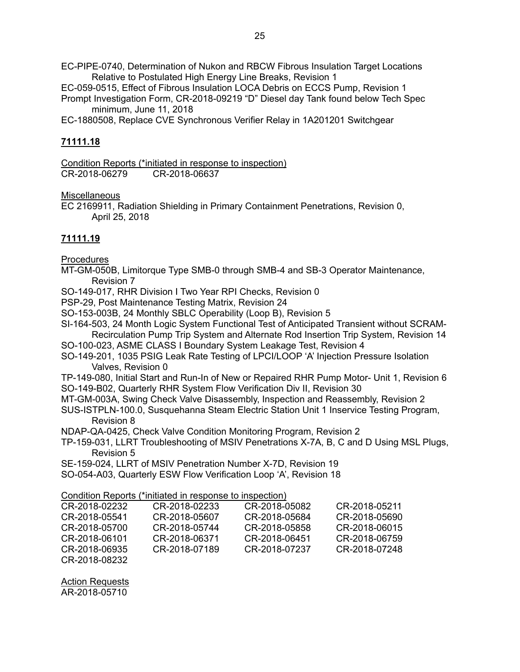EC-PIPE-0740, Determination of Nukon and RBCW Fibrous Insulation Target Locations Relative to Postulated High Energy Line Breaks, Revision 1

EC-059-0515, Effect of Fibrous Insulation LOCA Debris on ECCS Pump, Revision 1 Prompt Investigation Form, CR-2018-09219 "D" Diesel day Tank found below Tech Spec minimum, June 11, 2018

EC-1880508, Replace CVE Synchronous Verifier Relay in 1A201201 Switchgear

## **71111.18**

Condition Reports (\*initiated in response to inspection)<br>CR-2018-06279 CR-2018-06637 CR-2018-06279

Miscellaneous

EC 2169911, Radiation Shielding in Primary Containment Penetrations, Revision 0, April 25, 2018

## **71111.19**

**Procedures** 

MT-GM-050B, Limitorque Type SMB-0 through SMB-4 and SB-3 Operator Maintenance, Revision 7

SO-149-017, RHR Division I Two Year RPI Checks, Revision 0

PSP-29, Post Maintenance Testing Matrix, Revision 24

SO-153-003B, 24 Monthly SBLC Operability (Loop B), Revision 5

SI-164-503, 24 Month Logic System Functional Test of Anticipated Transient without SCRAM-Recirculation Pump Trip System and Alternate Rod Insertion Trip System, Revision 14

SO-100-023, ASME CLASS I Boundary System Leakage Test, Revision 4

SO-149-201, 1035 PSIG Leak Rate Testing of LPCI/LOOP 'A' Injection Pressure Isolation Valves, Revision 0

TP-149-080, Initial Start and Run-In of New or Repaired RHR Pump Motor- Unit 1, Revision 6 SO-149-B02, Quarterly RHR System Flow Verification Div II, Revision 30

MT-GM-003A, Swing Check Valve Disassembly, Inspection and Reassembly, Revision 2

SUS-ISTPLN-100.0, Susquehanna Steam Electric Station Unit 1 Inservice Testing Program, Revision 8

NDAP-QA-0425, Check Valve Condition Monitoring Program, Revision 2

TP-159-031, LLRT Troubleshooting of MSIV Penetrations X-7A, B, C and D Using MSL Plugs, Revision 5

SE-159-024, LLRT of MSIV Penetration Number X-7D, Revision 19

SO-054-A03, Quarterly ESW Flow Verification Loop 'A', Revision 18

Condition Reports (\*initiated in response to inspection)

| CR-2018-02232 | CR-2018-02233 | CR-2018-05082 | CR-2018-05211 |
|---------------|---------------|---------------|---------------|
| CR-2018-05541 | CR-2018-05607 | CR-2018-05684 | CR-2018-05690 |
| CR-2018-05700 | CR-2018-05744 | CR-2018-05858 | CR-2018-06015 |
| CR-2018-06101 | CR-2018-06371 | CR-2018-06451 | CR-2018-06759 |
| CR-2018-06935 | CR-2018-07189 | CR-2018-07237 | CR-2018-07248 |
| CR-2018-08232 |               |               |               |

Action Requests AR-2018-05710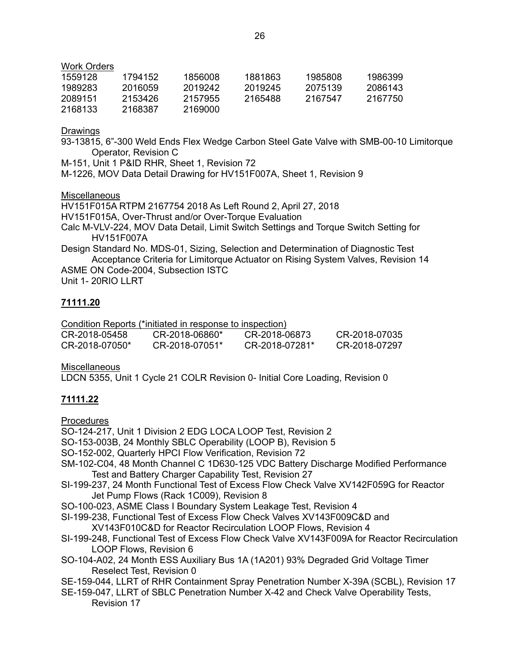Work Orders

| 1559128 | 1794152 | 1856008 | 1881863 | 1985808 | 1986399 |
|---------|---------|---------|---------|---------|---------|
| 1989283 | 2016059 | 2019242 | 2019245 | 2075139 | 2086143 |
| 2089151 | 2153426 | 2157955 | 2165488 | 2167547 | 2167750 |
| 2168133 | 2168387 | 2169000 |         |         |         |

Drawings

93-13815, 6"-300 Weld Ends Flex Wedge Carbon Steel Gate Valve with SMB-00-10 Limitorque Operator, Revision C

M-151, Unit 1 P&ID RHR, Sheet 1, Revision 72

M-1226, MOV Data Detail Drawing for HV151F007A, Sheet 1, Revision 9

Miscellaneous

HV151F015A RTPM 2167754 2018 As Left Round 2, April 27, 2018

HV151F015A, Over-Thrust and/or Over-Torque Evaluation

Calc M-VLV-224, MOV Data Detail, Limit Switch Settings and Torque Switch Setting for HV151F007A

Design Standard No. MDS-01, Sizing, Selection and Determination of Diagnostic Test Acceptance Criteria for Limitorque Actuator on Rising System Valves, Revision 14 ASME ON Code-2004, Subsection ISTC

Unit 1- 20RIO LLRT

## **71111.20**

Condition Reports (\*initiated in response to inspection)

| CR-2018-05458  | CR-2018-06860*   | CR-2018-06873  | CR-2018-07035 |
|----------------|------------------|----------------|---------------|
| CR-2018-07050* | $CR-2018-07051*$ | CR-2018-07281* | CR-2018-07297 |

**Miscellaneous** 

LDCN 5355, Unit 1 Cycle 21 COLR Revision 0- Initial Core Loading, Revision 0

## **71111.22**

**Procedures** 

SO-124-217, Unit 1 Division 2 EDG LOCA LOOP Test, Revision 2

SO-153-003B, 24 Monthly SBLC Operability (LOOP B), Revision 5

- SO-152-002, Quarterly HPCI Flow Verification, Revision 72
- SM-102-C04, 48 Month Channel C 1D630-125 VDC Battery Discharge Modified Performance Test and Battery Charger Capability Test, Revision 27
- SI-199-237, 24 Month Functional Test of Excess Flow Check Valve XV142F059G for Reactor Jet Pump Flows (Rack 1C009), Revision 8
- SO-100-023, ASME Class I Boundary System Leakage Test, Revision 4

SI-199-238, Functional Test of Excess Flow Check Valves XV143F009C&D and

XV143F010C&D for Reactor Recirculation LOOP Flows, Revision 4

- SI-199-248, Functional Test of Excess Flow Check Valve XV143F009A for Reactor Recirculation LOOP Flows, Revision 6
- SO-104-A02, 24 Month ESS Auxiliary Bus 1A (1A201) 93% Degraded Grid Voltage Timer Reselect Test, Revision 0

SE-159-044, LLRT of RHR Containment Spray Penetration Number X-39A (SCBL), Revision 17

SE-159-047, LLRT of SBLC Penetration Number X-42 and Check Valve Operability Tests, Revision 17